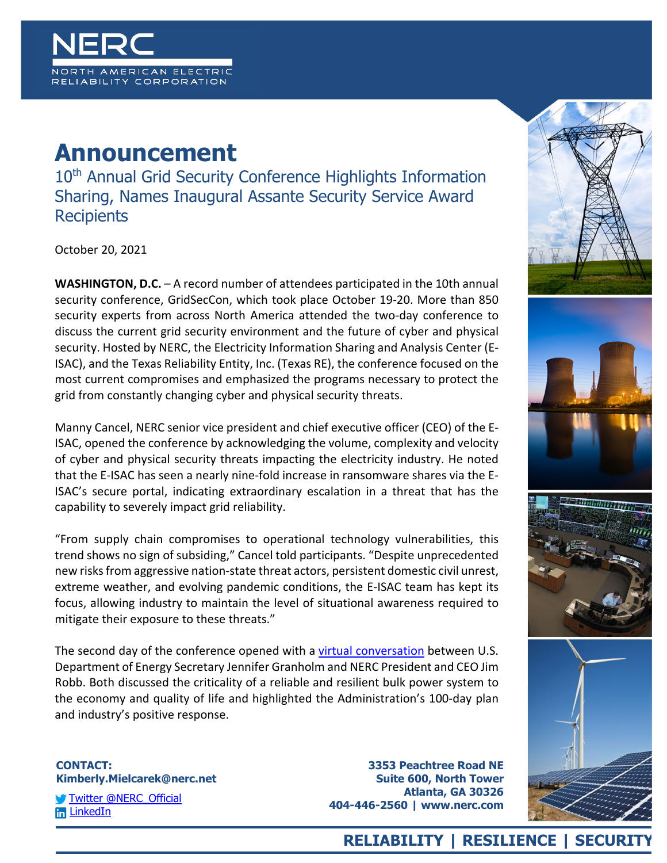

## **Announcement**

10<sup>th</sup> Annual Grid Security Conference Highlights Information Sharing, Names Inaugural Assante Security Service Award **Recipients** 

October 20, 2021

**WASHINGTON, D.C.** – A record number of attendees participated in the 10th annual security conference, GridSecCon, which took place October 19-20. More than 850 security experts from across North America attended the two-day conference to discuss the current grid security environment and the future of cyber and physical security. Hosted by NERC, the Electricity Information Sharing and Analysis Center (E-ISAC), and the Texas Reliability Entity, Inc. (Texas RE), the conference focused on the most current compromises and emphasized the programs necessary to protect the grid from constantly changing cyber and physical security threats.

Manny Cancel, NERC senior vice president and chief executive officer (CEO) of the E-ISAC, opened the conference by acknowledging the volume, complexity and velocity of cyber and physical security threats impacting the electricity industry. He noted that the E-ISAC has seen a nearly nine-fold increase in ransomware shares via the E-ISAC's secure portal, indicating extraordinary escalation in a threat that has the capability to severely impact grid reliability.

"From supply chain compromises to operational technology vulnerabilities, this trend shows no sign of subsiding," Cancel told participants. "Despite unprecedented new risks from aggressive nation-state threat actors, persistent domestic civil unrest, extreme weather, and evolving pandemic conditions, the E-ISAC team has kept its focus, allowing industry to maintain the level of situational awareness required to mitigate their exposure to these threats."

The second day of the conference opened with a [virtual conversation](https://vimeopro.com/nerclearning/gridseccon/video/633119238) between U.S. Department of Energy Secretary Jennifer Granholm and NERC President and CEO Jim Robb. Both discussed the criticality of a reliable and resilient bulk power system to the economy and quality of life and highlighted the Administration's 100-day plan and industry's positive response.

## **CONTACT: Kimberly.Mielcarek@nerc.net**

[Twitter @NERC\\_Official](https://twitter.com/NERC_Official) **In LinkedIn** 

**3353 Peachtree Road NE Suite 600, North Tower Atlanta, GA 30326 404-446-2560 | www.nerc.com**









## **RELIABILITY | RESILIENCE | SECURITY**